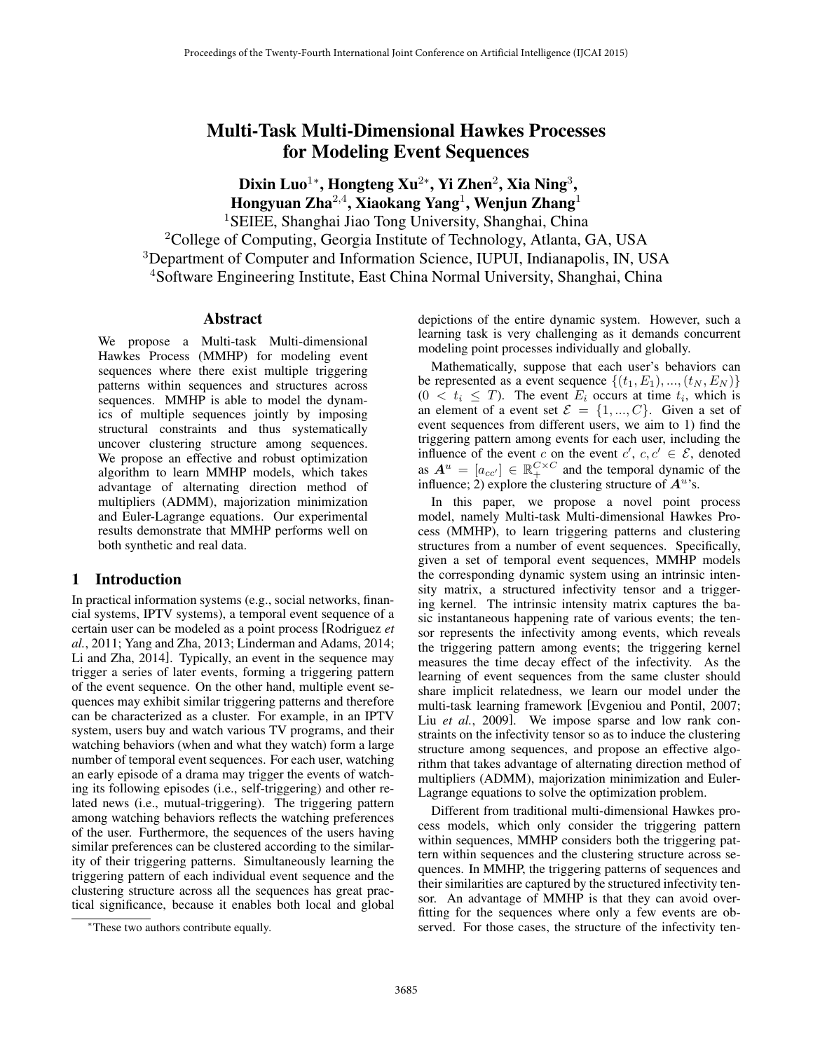# Multi-Task Multi-Dimensional Hawkes Processes for Modeling Event Sequences

Dixin Luo $^{1*}$ , Hongteng Xu $^{2*}$ , Yi Zhen $^{2}$ , Xia Ning $^{3}$ , Hongyuan Zha $^{2,4}$ , Xiaokang Yang $^{1}$ , Wenjun Zhang $^{1}$ 

<sup>1</sup>SEIEE, Shanghai Jiao Tong University, Shanghai, China

<sup>2</sup>College of Computing, Georgia Institute of Technology, Atlanta, GA, USA

<sup>3</sup>Department of Computer and Information Science, IUPUI, Indianapolis, IN, USA

<sup>4</sup>Software Engineering Institute, East China Normal University, Shanghai, China

#### Abstract

We propose a Multi-task Multi-dimensional Hawkes Process (MMHP) for modeling event sequences where there exist multiple triggering patterns within sequences and structures across sequences. MMHP is able to model the dynamics of multiple sequences jointly by imposing structural constraints and thus systematically uncover clustering structure among sequences. We propose an effective and robust optimization algorithm to learn MMHP models, which takes advantage of alternating direction method of multipliers (ADMM), majorization minimization and Euler-Lagrange equations. Our experimental results demonstrate that MMHP performs well on both synthetic and real data.

# 1 Introduction

In practical information systems (e.g., social networks, financial systems, IPTV systems), a temporal event sequence of a certain user can be modeled as a point process [Rodriguez *et al.*, 2011; Yang and Zha, 2013; Linderman and Adams, 2014; Li and Zha, 2014]. Typically, an event in the sequence may trigger a series of later events, forming a triggering pattern of the event sequence. On the other hand, multiple event sequences may exhibit similar triggering patterns and therefore can be characterized as a cluster. For example, in an IPTV system, users buy and watch various TV programs, and their watching behaviors (when and what they watch) form a large number of temporal event sequences. For each user, watching an early episode of a drama may trigger the events of watching its following episodes (i.e., self-triggering) and other related news (i.e., mutual-triggering). The triggering pattern among watching behaviors reflects the watching preferences of the user. Furthermore, the sequences of the users having similar preferences can be clustered according to the similarity of their triggering patterns. Simultaneously learning the triggering pattern of each individual event sequence and the clustering structure across all the sequences has great practical significance, because it enables both local and global depictions of the entire dynamic system. However, such a learning task is very challenging as it demands concurrent modeling point processes individually and globally.

Mathematically, suppose that each user's behaviors can be represented as a event sequence  $\{(t_1, E_1), ..., (t_N, E_N)\}\$  $(0 < t_i \leq T)$ . The event  $E_i$  occurs at time  $t_i$ , which is an element of a event set  $\mathcal{E} = \{1, ..., C\}$ . Given a set of event sequences from different users, we aim to 1) find the triggering pattern among events for each user, including the influence of the event c on the event  $c', c, c' \in \mathcal{E}$ , denoted as  $A^u = [a_{cc'}] \in \mathbb{R}_+^{C \times C}$  and the temporal dynamic of the influence; 2) explore the clustering structure of  $A<sup>u</sup>$ 's.

In this paper, we propose a novel point process model, namely Multi-task Multi-dimensional Hawkes Process (MMHP), to learn triggering patterns and clustering structures from a number of event sequences. Specifically, given a set of temporal event sequences, MMHP models the corresponding dynamic system using an intrinsic intensity matrix, a structured infectivity tensor and a triggering kernel. The intrinsic intensity matrix captures the basic instantaneous happening rate of various events; the tensor represents the infectivity among events, which reveals the triggering pattern among events; the triggering kernel measures the time decay effect of the infectivity. As the learning of event sequences from the same cluster should share implicit relatedness, we learn our model under the multi-task learning framework [Evgeniou and Pontil, 2007; Liu et al., 2009]. We impose sparse and low rank constraints on the infectivity tensor so as to induce the clustering structure among sequences, and propose an effective algorithm that takes advantage of alternating direction method of multipliers (ADMM), majorization minimization and Euler-Lagrange equations to solve the optimization problem.

Different from traditional multi-dimensional Hawkes process models, which only consider the triggering pattern within sequences, MMHP considers both the triggering pattern within sequences and the clustering structure across sequences. In MMHP, the triggering patterns of sequences and their similarities are captured by the structured infectivity tensor. An advantage of MMHP is that they can avoid overfitting for the sequences where only a few events are observed. For those cases, the structure of the infectivity ten-

<sup>∗</sup>These two authors contribute equally.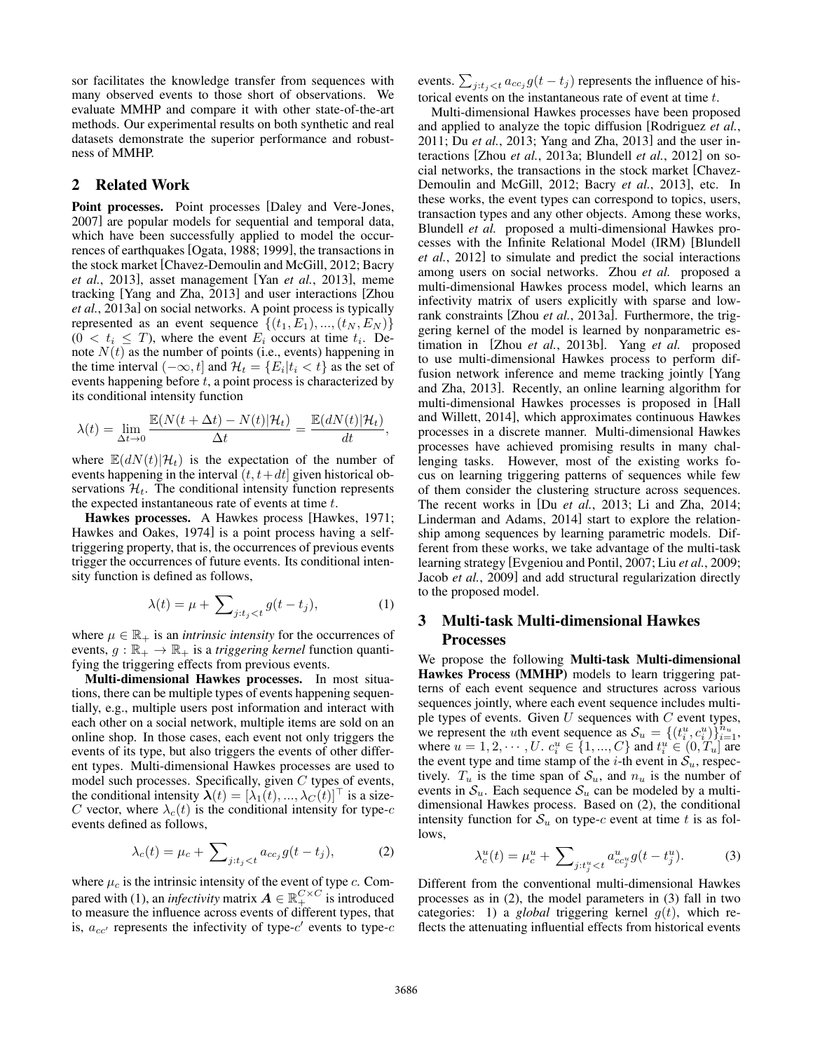sor facilitates the knowledge transfer from sequences with many observed events to those short of observations. We evaluate MMHP and compare it with other state-of-the-art methods. Our experimental results on both synthetic and real datasets demonstrate the superior performance and robustness of MMHP.

## 2 Related Work

Point processes. Point processes [Daley and Vere-Jones, 2007] are popular models for sequential and temporal data, which have been successfully applied to model the occurrences of earthquakes [Ogata, 1988; 1999], the transactions in the stock market [Chavez-Demoulin and McGill, 2012; Bacry *et al.*, 2013], asset management [Yan *et al.*, 2013], meme tracking [Yang and Zha, 2013] and user interactions [Zhou *et al.*, 2013a] on social networks. A point process is typically represented as an event sequence  $\{(t_1, E_1), ..., (t_N, E_N)\}\$  $(0 < t_i \leq T)$ , where the event  $E_i$  occurs at time  $t_i$ . Denote  $N(t)$  as the number of points (i.e., events) happening in the time interval  $(-\infty, t]$  and  $\mathcal{H}_t = \{E_i | t_i < t\}$  as the set of events happening before  $t$ , a point process is characterized by its conditional intensity function

$$
\lambda(t) = \lim_{\Delta t \to 0} \frac{\mathbb{E}(N(t + \Delta t) - N(t)|\mathcal{H}_t)}{\Delta t} = \frac{\mathbb{E}(dN(t)|\mathcal{H}_t)}{dt},
$$

where  $\mathbb{E}(dN(t)|\mathcal{H}_t)$  is the expectation of the number of events happening in the interval  $(t, t+dt)$  given historical observations  $\mathcal{H}_t$ . The conditional intensity function represents the expected instantaneous rate of events at time  $t$ .

Hawkes processes. A Hawkes process [Hawkes, 1971; Hawkes and Oakes, 1974] is a point process having a selftriggering property, that is, the occurrences of previous events trigger the occurrences of future events. Its conditional intensity function is defined as follows,

$$
\lambda(t) = \mu + \sum_{j:t_j < t} g(t - t_j),\tag{1}
$$

where  $\mu \in \mathbb{R}_+$  is an *intrinsic intensity* for the occurrences of events,  $g : \mathbb{R}_+ \to \mathbb{R}_+$  is a *triggering kernel* function quantifying the triggering effects from previous events.

Multi-dimensional Hawkes processes. In most situations, there can be multiple types of events happening sequentially, e.g., multiple users post information and interact with each other on a social network, multiple items are sold on an online shop. In those cases, each event not only triggers the events of its type, but also triggers the events of other different types. Multi-dimensional Hawkes processes are used to model such processes. Specifically, given  $C$  types of events, the conditional intensity  $\lambda(t) = [\lambda_1(t), ..., \lambda_C(t)]^\top$  is a size-C vector, where  $\lambda_c(t)$  is the conditional intensity for type-c events defined as follows,

$$
\lambda_c(t) = \mu_c + \sum_{j:t_j < t} a_{cc_j} g(t - t_j),\tag{2}
$$

where  $\mu_c$  is the intrinsic intensity of the event of type c. Compared with (1), an *infectivity* matrix  $\mathbf{A} \in \mathbb{R}_+^{C \times C}$  is introduced to measure the influence across events of different types, that is,  $a_{cc'}$  represents the infectivity of type-c' events to type-c

events.  $\sum_{j:t_j < t} a_{cc_j} g(t - t_j)$  represents the influence of historical events on the instantaneous rate of event at time t.

Multi-dimensional Hawkes processes have been proposed and applied to analyze the topic diffusion [Rodriguez *et al.*, 2011; Du *et al.*, 2013; Yang and Zha, 2013] and the user interactions [Zhou *et al.*, 2013a; Blundell *et al.*, 2012] on social networks, the transactions in the stock market [Chavez-Demoulin and McGill, 2012; Bacry *et al.*, 2013], etc. In these works, the event types can correspond to topics, users, transaction types and any other objects. Among these works, Blundell *et al.* proposed a multi-dimensional Hawkes processes with the Infinite Relational Model (IRM) [Blundell *et al.*, 2012] to simulate and predict the social interactions among users on social networks. Zhou *et al.* proposed a multi-dimensional Hawkes process model, which learns an infectivity matrix of users explicitly with sparse and lowrank constraints [Zhou *et al.*, 2013a]. Furthermore, the triggering kernel of the model is learned by nonparametric estimation in [Zhou *et al.*, 2013b]. Yang *et al.* proposed to use multi-dimensional Hawkes process to perform diffusion network inference and meme tracking jointly [Yang and Zha, 2013]. Recently, an online learning algorithm for multi-dimensional Hawkes processes is proposed in [Hall and Willett, 2014], which approximates continuous Hawkes processes in a discrete manner. Multi-dimensional Hawkes processes have achieved promising results in many challenging tasks. However, most of the existing works focus on learning triggering patterns of sequences while few of them consider the clustering structure across sequences. The recent works in [Du *et al.*, 2013; Li and Zha, 2014; Linderman and Adams, 2014] start to explore the relationship among sequences by learning parametric models. Different from these works, we take advantage of the multi-task learning strategy [Evgeniou and Pontil, 2007; Liu *et al.*, 2009; Jacob *et al.*, 2009] and add structural regularization directly to the proposed model.

# 3 Multi-task Multi-dimensional Hawkes Processes

We propose the following Multi-task Multi-dimensional Hawkes Process (MMHP) models to learn triggering patterns of each event sequence and structures across various sequences jointly, where each event sequence includes multiple types of events. Given  $U$  sequences with  $C$  event types, we represent the *u*th event sequence as  $S_u = \{(t_i^u, c_i^u)\}_{i=1}^{\hat{n}_u}$ , where  $u = 1, 2, \dots, U$ .  $c_i^u \in \{1, ..., C\}$  and  $t_i^u \in (0, T_u]$  are the event type and time stamp of the *i*-th event in  $S_u$ , respectively.  $T_u$  is the time span of  $S_u$ , and  $n_u$  is the number of events in  $S_u$ . Each sequence  $S_u$  can be modeled by a multidimensional Hawkes process. Based on (2), the conditional intensity function for  $S_u$  on type-c event at time t is as follows,

$$
\lambda_c^u(t) = \mu_c^u + \sum_{j:t_j^u < t} a_{cc_j^u}^u g(t - t_j^u). \tag{3}
$$

Different from the conventional multi-dimensional Hawkes processes as in (2), the model parameters in (3) fall in two categories: 1) a *global* triggering kernel  $q(t)$ , which reflects the attenuating influential effects from historical events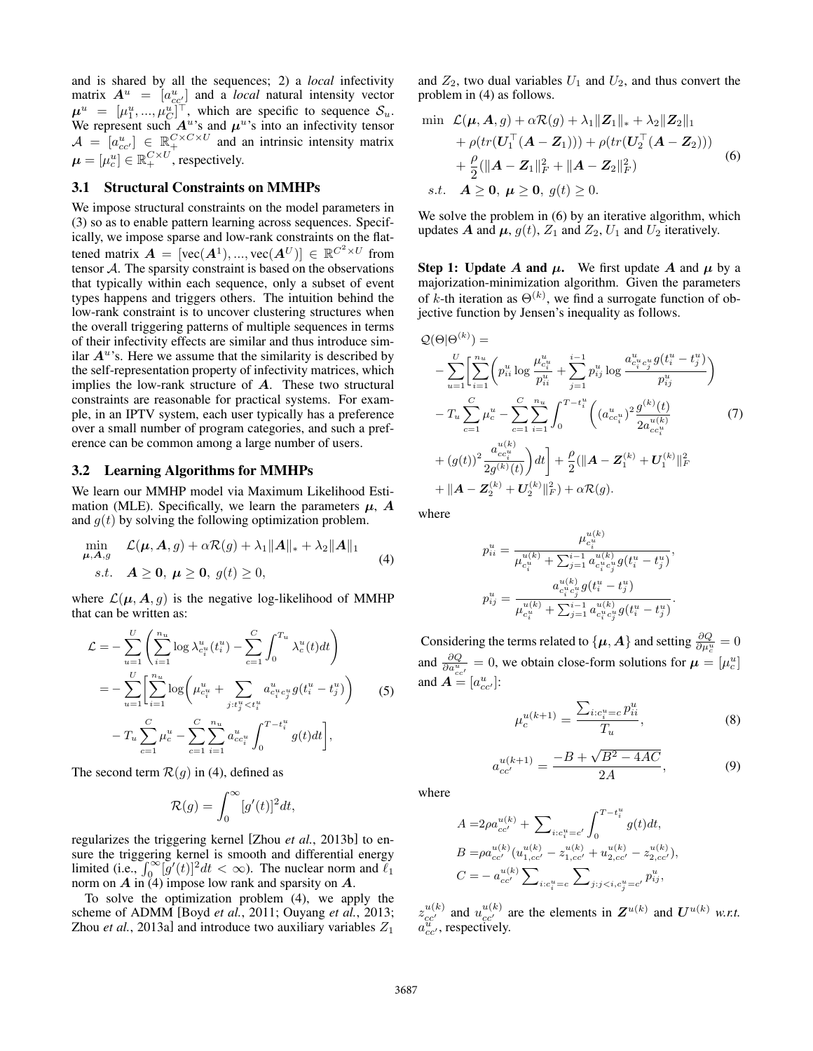and is shared by all the sequences; 2) a *local* infectivity matrix  $A^u = [a_{cc'}^u]$  and a *local* natural intensity vector  $\mu^u = [\mu_1^u, ..., \mu_C^u]^\top$ , which are specific to sequence  $\mathcal{S}_u$ . We represent such  $A^u$ 's and  $\mu^u$ 's into an infectivity tensor  $\mathcal{A} = [a_{cc'}^u] \in \mathbb{R}_+^{C \times C \times U}$  and an intrinsic intensity matrix  $\boldsymbol{\mu} = [\mu^u_c] \in \mathbb{R}^{C \times U}_+$ , respectively.

#### 3.1 Structural Constraints on MMHPs

We impose structural constraints on the model parameters in (3) so as to enable pattern learning across sequences. Specifically, we impose sparse and low-rank constraints on the flattened matrix  $\mathbf{A} = [\text{vec}(\mathbf{A}^1), ..., \text{vec}(\mathbf{A}^U)] \in \mathbb{R}^{C^2 \times U}$  from tensor  $A$ . The sparsity constraint is based on the observations that typically within each sequence, only a subset of event types happens and triggers others. The intuition behind the low-rank constraint is to uncover clustering structures when the overall triggering patterns of multiple sequences in terms of their infectivity effects are similar and thus introduce similar  $A<sup>u</sup>$ 's. Here we assume that the similarity is described by the self-representation property of infectivity matrices, which implies the low-rank structure of A. These two structural constraints are reasonable for practical systems. For example, in an IPTV system, each user typically has a preference over a small number of program categories, and such a preference can be common among a large number of users.

#### 3.2 Learning Algorithms for MMHPs

We learn our MMHP model via Maximum Likelihood Estimation (MLE). Specifically, we learn the parameters  $\mu$ , A and  $g(t)$  by solving the following optimization problem.

$$
\min_{\mu, A, g} \mathcal{L}(\mu, A, g) + \alpha \mathcal{R}(g) + \lambda_1 ||A||_* + \lambda_2 ||A||_1
$$
\n
$$
s.t. \quad A \ge 0, \ \mu \ge 0, \ g(t) \ge 0,
$$
\n
$$
(4)
$$

where  $\mathcal{L}(\mu, A, g)$  is the negative log-likelihood of MMHP that can be written as:

$$
\mathcal{L} = -\sum_{u=1}^{U} \left( \sum_{i=1}^{n_u} \log \lambda_{c_i^u}^u(t_i^u) - \sum_{c=1}^{C} \int_0^{T_u} \lambda_c^u(t) dt \right)
$$
  
= 
$$
-\sum_{u=1}^{U} \left[ \sum_{i=1}^{n_u} \log \left( \mu_{c_i^u}^u + \sum_{j:t_j^u < t_i^u} a_{c_i^u c_j^u}^u g(t_i^u - t_j^u) \right) \right]
$$
(5)  

$$
-T_u \sum_{c=1}^{C} \mu_c^u - \sum_{c=1}^{C} \sum_{i=1}^{n_u} a_{cc_i^u}^u \int_0^{T-t_i^u} g(t) dt \right],
$$

The second term  $\mathcal{R}(g)$  in (4), defined as

$$
\mathcal{R}(g) = \int_0^\infty [g'(t)]^2 dt,
$$

regularizes the triggering kernel [Zhou *et al.*, 2013b] to ensure the triggering kernel is smooth and differential energy limited (i.e.,  $\int_0^\infty [g'(t)]^2 dt < \infty$ ). The nuclear norm and  $\ell_1$ norm on  $A$  in  $(4)$  impose low rank and sparsity on  $A$ .

To solve the optimization problem (4), we apply the scheme of ADMM [Boyd *et al.*, 2011; Ouyang *et al.*, 2013; Zhou *et al.*, 2013a] and introduce two auxiliary variables  $Z_1$  and  $Z_2$ , two dual variables  $U_1$  and  $U_2$ , and thus convert the problem in (4) as follows.

$$
\begin{split} \min \quad & \mathcal{L}(\boldsymbol{\mu}, \boldsymbol{A}, g) + \alpha \mathcal{R}(g) + \lambda_1 \| \boldsymbol{Z}_1 \|_{*} + \lambda_2 \| \boldsymbol{Z}_2 \|_{1} \\ &+ \rho \left( tr(\boldsymbol{U}_1^\top (\boldsymbol{A} - \boldsymbol{Z}_1)) \right) + \rho \left( tr(\boldsymbol{U}_2^\top (\boldsymbol{A} - \boldsymbol{Z}_2)) \right) \\ &+ \frac{\rho}{2} (\| \boldsymbol{A} - \boldsymbol{Z}_1 \|_{F}^2 + \| \boldsymbol{A} - \boldsymbol{Z}_2 \|_{F}^2) \\ s.t. \quad & \boldsymbol{A} \geq \boldsymbol{0}, \ \boldsymbol{\mu} \geq \boldsymbol{0}, \ g(t) \geq 0. \end{split} \tag{6}
$$

We solve the problem in  $(6)$  by an iterative algorithm, which updates A and  $\mu$ ,  $g(t)$ ,  $Z_1$  and  $Z_2$ ,  $U_1$  and  $U_2$  iteratively.

**Step 1:** Update A and  $\mu$ . We first update A and  $\mu$  by a majorization-minimization algorithm. Given the parameters of k-th iteration as  $\Theta^{(k)}$ , we find a surrogate function of objective function by Jensen's inequality as follows.

$$
Q(\Theta|\Theta^{(k)}) =
$$
\n
$$
- \sum_{u=1}^{U} \left[ \sum_{i=1}^{n_u} \left( p_{ii}^u \log \frac{\mu_{c_i^u}^u}{p_{ii}^u} + \sum_{j=1}^{i-1} p_{ij}^u \log \frac{a_{c_i^u c_j^u}^u g(t_i^u - t_j^u)}{p_{ij}^u} \right) \right]
$$
\n
$$
- T_u \sum_{c=1}^{C} \mu_c^u - \sum_{c=1}^{C} \sum_{i=1}^{n_u} \int_0^{T - t_i^u} \left( (a_{cc_i^u}^u)^2 \frac{g^{(k)}(t)}{2a_{cc_i^u}^{u(k)}} \right)
$$
\n
$$
+ (g(t))^2 \frac{a_{cc_i^u}^{u(k)}}{2g^{(k)}(t)} \right) dt \Big] + \frac{\rho}{2} (\|A - Z_1^{(k)} + U_1^{(k)}\|_F^2)
$$
\n
$$
+ \|A - Z_2^{(k)} + U_2^{(k)}\|_F^2) + \alpha \mathcal{R}(g).
$$
\n(7)

where

$$
p_{ii}^{u} = \frac{\mu_{c_i^{u}}^{u(k)}}{\mu_{c_i^{u}}^{u(k)} + \sum_{j=1}^{i-1} a_{c_i^{u}c_j^{u}}^{u(k)} g(t_i^{u} - t_j^{u})},
$$

$$
p_{ij}^{u} = \frac{a_{c_i^{u}c_j^{u}}^{u(k)} g(t_i^{u} - t_j^{u})}{\mu_{c_i^{u}}^{u(k)} + \sum_{j=1}^{i-1} a_{c_i^{u}}^{u(k)} g(t_i^{u} - t_j^{u})}.
$$

Considering the terms related to  $\{\mu, A\}$  and setting  $\frac{\partial Q}{\partial \mu_c^u} = 0$ and  $\frac{\partial Q}{\partial a_{cc'}^u} = 0$ , we obtain close-form solutions for  $\mu = [\mu_c^u]$ and  $\mathbf{A} = [a_{cc'}^u]$ :

$$
\mu_c^{u(k+1)} = \frac{\sum_{i:c_i^u=c} p_{ii}^u}{T_u},
$$
\n(8)

$$
a_{cc'}^{u(k+1)} = \frac{-B + \sqrt{B^2 - 4AC}}{2A},\tag{9}
$$

where

$$
\begin{split} A = &2\rho a_{cc'}^{u(k)} + \sum\nolimits_{i:c_i^u=c'}\int_0^{T-t_i^u}g(t)dt,\\ B = &\rho a_{cc'}^{u(k)} (u_{1,cc'}^{u(k)} - z_{1,cc'}^{u(k)} + u_{2,cc'}^{u(k)} - z_{2,cc'}^{u(k)}),\\ C = &- a_{cc'}^{u(k)} \sum\nolimits_{i:c_i^u=c}\sum\nolimits_{j:j
$$

 $z_{cc}^{u(k)}$  and  $u_{cc'}^{u(k)}$  are the elements in  $\mathbf{Z}^{u(k)}$  and  $\mathbf{U}^{u(k)}$  w.r.t.  $a_{cc}^{\overline{u}}$ , respectively.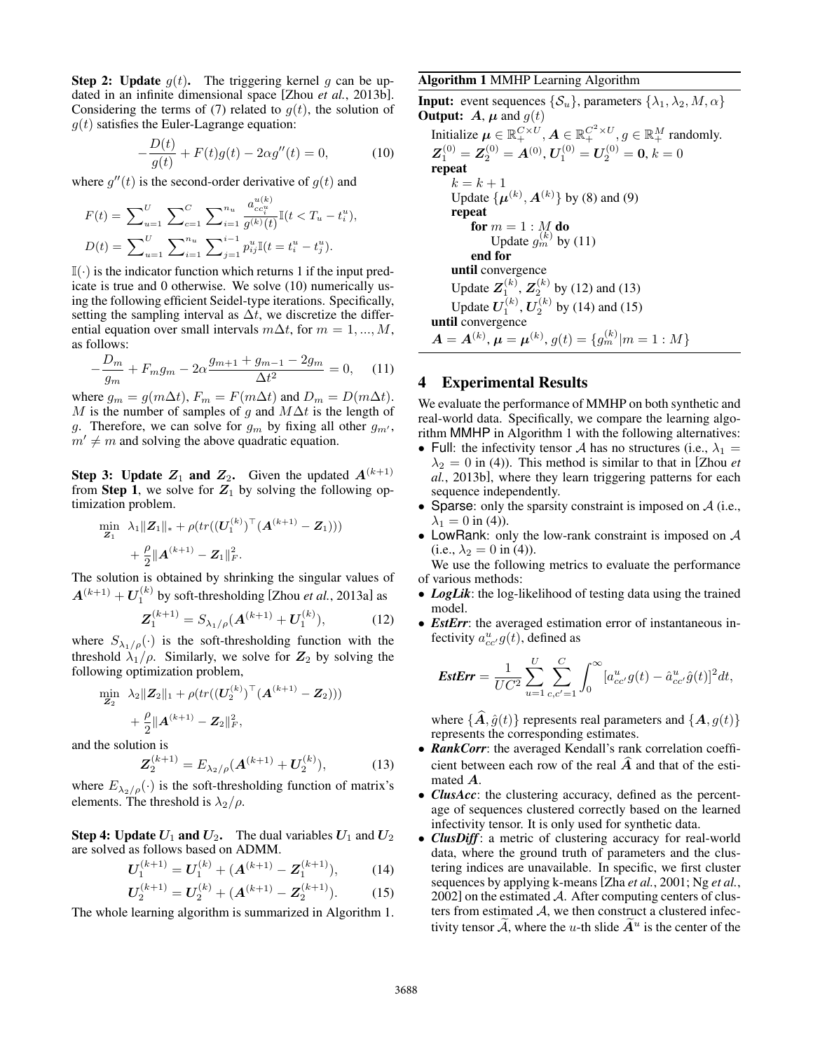**Step 2: Update**  $q(t)$ . The triggering kernel q can be updated in an infinite dimensional space [Zhou *et al.*, 2013b]. Considering the terms of (7) related to  $g(t)$ , the solution of  $g(t)$  satisfies the Euler-Lagrange equation:

$$
-\frac{D(t)}{g(t)} + F(t)g(t) - 2\alpha g''(t) = 0,
$$
\n(10)

where  $g''(t)$  is the second-order derivative of  $g(t)$  and

$$
F(t) = \sum_{u=1}^{U} \sum_{c=1}^{C} \sum_{i=1}^{n_u} \frac{a_{cc_i}^{u(k)}}{g^{(k)}(t)} \mathbb{I}(t < T_u - t_i^u),
$$
  

$$
D(t) = \sum_{u=1}^{U} \sum_{i=1}^{n_u} \sum_{j=1}^{i-1} p_{ij}^{u_j} \mathbb{I}(t = t_i^u - t_j^u).
$$

 $\mathbb{I}(\cdot)$  is the indicator function which returns 1 if the input predicate is true and 0 otherwise. We solve (10) numerically using the following efficient Seidel-type iterations. Specifically, setting the sampling interval as  $\Delta t$ , we discretize the differential equation over small intervals  $m\Delta t$ , for  $m = 1, ..., M$ , as follows:

$$
-\frac{D_m}{g_m} + F_m g_m - 2\alpha \frac{g_{m+1} + g_{m-1} - 2g_m}{\Delta t^2} = 0, \quad (11)
$$

where  $g_m = g(m\Delta t)$ ,  $F_m = F(m\Delta t)$  and  $D_m = D(m\Delta t)$ . M is the number of samples of g and  $M\Delta t$  is the length of g. Therefore, we can solve for  $g_m$  by fixing all other  $g_{m'}$ ,  $m' \neq m$  and solving the above quadratic equation.

**Step 3: Update**  $Z_1$  **and**  $Z_2$ **.** Given the updated  $A^{(k+1)}$ from Step 1, we solve for  $Z_1$  by solving the following optimization problem.

$$
\begin{aligned} \min \limits_{\boldsymbol{Z}_{1}} \hspace{0.2cm} \lambda_{1}\|\boldsymbol{Z}_{1}\|_{*} &+ \rho (tr((\boldsymbol{U}_{1}^{(k)})^{\top}(\boldsymbol{A}^{(k+1)} - \boldsymbol{Z}_{1}))) \\ &+ \frac{\rho}{2}\|\boldsymbol{A}^{(k+1)} - \boldsymbol{Z}_{1}\|_{F}^{2}. \end{aligned}
$$

The solution is obtained by shrinking the singular values of  $A^{(k+1)} + U_1^{(k)}$  by soft-thresholding [Zhou *et al.*, 2013a] as

$$
\mathbf{Z}_{1}^{(k+1)} = S_{\lambda_{1}/\rho}(\mathbf{A}^{(k+1)} + \mathbf{U}_{1}^{(k)}), \tag{12}
$$

where  $S_{\lambda_1/\rho}(\cdot)$  is the soft-thresholding function with the threshold  $\lambda_1/\rho$ . Similarly, we solve for  $\mathbb{Z}_2$  by solving the following optimization problem,

$$
\min_{\mathbf{Z}_2} \lambda_2 \|\mathbf{Z}_2\|_1 + \rho(tr((\mathbf{U}_2^{(k)})^\top (\mathbf{A}^{(k+1)} - \mathbf{Z}_2)))
$$

$$
+ \frac{\rho}{2} \|\mathbf{A}^{(k+1)} - \mathbf{Z}_2\|_F^2,
$$

and the solution is

$$
\mathbf{Z}_{2}^{(k+1)} = E_{\lambda_{2}/\rho}(\mathbf{A}^{(k+1)} + \mathbf{U}_{2}^{(k)}), \tag{13}
$$

where  $E_{\lambda_2/\rho}(\cdot)$  is the soft-thresholding function of matrix's elements. The threshold is  $\lambda_2/\rho$ .

**Step 4: Update**  $U_1$  **and**  $U_2$ **.** The dual variables  $U_1$  and  $U_2$ are solved as follows based on ADMM.

$$
U_1^{(k+1)} = U_1^{(k)} + (A^{(k+1)} - Z_1^{(k+1)}), \tag{14}
$$

$$
U_2^{(k+1)} = U_2^{(k)} + (A^{(k+1)} - Z_2^{(k+1)}).
$$
 (15)

The whole learning algorithm is summarized in Algorithm 1.

#### Algorithm 1 MMHP Learning Algorithm

**Input:** event sequences  $\{\mathcal{S}_u\}$ , parameters  $\{\lambda_1, \lambda_2, M, \alpha\}$ **Output:** A,  $\mu$  and  $g(t)$ Initialize  $\mu \in \mathbb{R}_+^{C \times U}, A \in \mathbb{R}_+^{C^2 \times U}, g \in \mathbb{R}_+^M$  randomly.  $\boldsymbol{Z}_{1}^{\left(0\right)}=\boldsymbol{Z}_{2}^{\left(0\right)}=\boldsymbol{A}^{\left(0\right)},\boldsymbol{U}_{1}^{\left(0\right)}=\boldsymbol{U}_{2}^{\left(0\right)}=\boldsymbol{0},\,k=0$ repeat  $k = k + 1$ Update  $\{\mu^{(k)}, A^{(k)}\}$  by (8) and (9) repeat for  $m=1:M$  do Update  $g_m^{(k)}$  by (11) end for until convergence Update  $Z_1^{(k)}$ ,  $Z_2^{(k)}$  by (12) and (13) Update  $U_1^{(k)}$ ,  $U_2^{(k)}$  by (14) and (15) until convergence  $\bm{A}=\bm{A}^{(k)},\bm{\mu}=\bm{\mu}^{(k)},$   $g(t)=\{g^{(k)}_m|m=1:M\}$ 

## 4 Experimental Results

We evaluate the performance of MMHP on both synthetic and real-world data. Specifically, we compare the learning algorithm MMHP in Algorithm 1 with the following alternatives:

- Full: the infectivity tensor A has no structures (i.e.,  $\lambda_1 =$  $\lambda_2 = 0$  in (4)). This method is similar to that in [Zhou *et al.*, 2013b], where they learn triggering patterns for each sequence independently.
- Sparse: only the sparsity constraint is imposed on  $A$  (i.e.,  $\lambda_1 = 0$  in (4)).
- LowRank: only the low-rank constraint is imposed on  $A$ (i.e.,  $\lambda_2 = 0$  in (4)).

We use the following metrics to evaluate the performance of various methods:

- *LogLik*: the log-likelihood of testing data using the trained model.
- *EstErr*: the averaged estimation error of instantaneous infectivity  $a_{cc}^u g(t)$ , defined as

$$
EstErr = \frac{1}{U C^2} \sum_{u=1}^{U} \sum_{c,c'=1}^{C} \int_0^{\infty} [a_{cc'}^u g(t) - \hat{a}_{cc'}^u \hat{g}(t)]^2 dt,
$$

where  $\{\widehat{\mathbf{A}}, \widehat{g}(t)\}$  represents real parameters and  $\{\mathbf{A}, g(t)\}$ represents the corresponding estimates.

- **RankCorr**: the averaged Kendall's rank correlation coefficient between each row of the real  $\hat{A}$  and that of the estimated A.
- *ClusAcc*: the clustering accuracy, defined as the percentage of sequences clustered correctly based on the learned infectivity tensor. It is only used for synthetic data.
- *ClusDiff*: a metric of clustering accuracy for real-world data, where the ground truth of parameters and the clustering indices are unavailable. In specific, we first cluster sequences by applying k-means [Zha *et al.*, 2001; Ng *et al.*,  $2002$ ] on the estimated  $A$ . After computing centers of clusters from estimated  $A$ , we then construct a clustered infectivity tensor  $\tilde{A}$ , where the u-th slide  $\tilde{A}^u$  is the center of the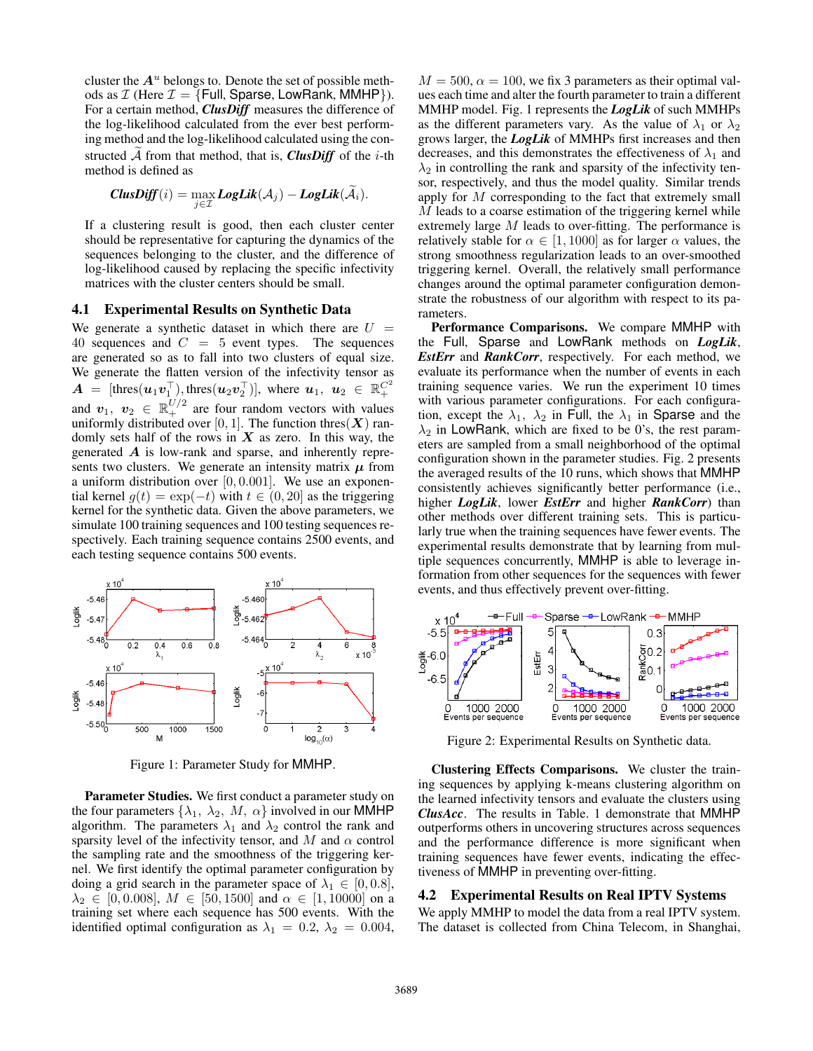cluster the  $A<sup>u</sup>$  belongs to. Denote the set of possible methods as  $\mathcal I$  (Here  $\mathcal I = \{$  Full, Sparse, LowRank, MMHP $\}$ ). For a certain method, *ClusDiff* measures the difference of the log-likelihood calculated from the ever best performing method and the log-likelihood calculated using the constructed  $A$  from that method, that is, *ClusDiff* of the *i*-th method is defined as

$$
\mathit{ClusDiff}(i) = \max_{j \in \mathcal{I}} \mathit{LogLik}(\mathcal{A}_j) - \mathit{LogLik}(\widetilde{\mathcal{A}}_i).
$$

If a clustering result is good, then each cluster center should be representative for capturing the dynamics of the sequences belonging to the cluster, and the difference of log-likelihood caused by replacing the specific infectivity matrices with the cluster centers should be small.

#### 4.1 Experimental Results on Synthetic Data

We generate a synthetic dataset in which there are  $U =$ 40 sequences and  $C = 5$  event types. The sequences are generated so as to fall into two clusters of equal size. We generate the flatten version of the infectivity tensor as  $\bm{A}$  = [thres $(\bm{u}_1 \bm{v}_1^{\top})$ , thres $(\bm{u}_2 \bm{v}_2^{\top})$ ], where  $\bm{u}_1$ ,  $\bm{u}_2 \in \mathbb{R}_+^{C^2}$ and  $v_1, v_2 \in \mathbb{R}^{U/2}_+$  are four random vectors with values uniformly distributed over [0, 1]. The function thres( $X$ ) randomly sets half of the rows in  $X$  as zero. In this way, the generated A is low-rank and sparse, and inherently represents two clusters. We generate an intensity matrix  $\mu$  from a uniform distribution over  $[0, 0.001]$ . We use an exponential kernel  $g(t) = \exp(-t)$  with  $t \in (0, 20]$  as the triggering kernel for the synthetic data. Given the above parameters, we simulate 100 training sequences and 100 testing sequences respectively. Each training sequence contains 2500 events, and each testing sequence contains 500 events.



Figure 1: Parameter Study for MMHP.

Parameter Studies. We first conduct a parameter study on the four parameters  $\{\lambda_1, \lambda_2, M, \alpha\}$  involved in our MMHP algorithm. The parameters  $\lambda_1$  and  $\lambda_2$  control the rank and sparsity level of the infectivity tensor, and M and  $\alpha$  control the sampling rate and the smoothness of the triggering kernel. We first identify the optimal parameter configuration by doing a grid search in the parameter space of  $\lambda_1 \in [0, 0.8]$ ,  $\lambda_2 \in [0, 0.008], M \in [50, 1500]$  and  $\alpha \in [1, 10000]$  on a training set where each sequence has 500 events. With the identified optimal configuration as  $\lambda_1 = 0.2$ ,  $\lambda_2 = 0.004$ ,

 $M = 500$ ,  $\alpha = 100$ , we fix 3 parameters as their optimal values each time and alter the fourth parameter to train a different MMHP model. Fig. 1 represents the *LogLik* of such MMHPs as the different parameters vary. As the value of  $\lambda_1$  or  $\lambda_2$ grows larger, the *LogLik* of MMHPs first increases and then decreases, and this demonstrates the effectiveness of  $\lambda_1$  and  $\lambda_2$  in controlling the rank and sparsity of the infectivity tensor, respectively, and thus the model quality. Similar trends apply for M corresponding to the fact that extremely small M leads to a coarse estimation of the triggering kernel while extremely large M leads to over-fitting. The performance is relatively stable for  $\alpha \in [1,1000]$  as for larger  $\alpha$  values, the strong smoothness regularization leads to an over-smoothed triggering kernel. Overall, the relatively small performance changes around the optimal parameter configuration demonstrate the robustness of our algorithm with respect to its parameters.

Performance Comparisons. We compare MMHP with the Full, Sparse and LowRank methods on *LogLik*, *EstErr* and *RankCorr*, respectively. For each method, we evaluate its performance when the number of events in each training sequence varies. We run the experiment 10 times with various parameter configurations. For each configuration, except the  $\lambda_1$ ,  $\lambda_2$  in Full, the  $\lambda_1$  in Sparse and the  $\lambda_2$  in LowRank, which are fixed to be 0's, the rest parameters are sampled from a small neighborhood of the optimal configuration shown in the parameter studies. Fig. 2 presents the averaged results of the 10 runs, which shows that MMHP consistently achieves significantly better performance (i.e., higher *LogLik*, lower *EstErr* and higher *RankCorr*) than other methods over different training sets. This is particularly true when the training sequences have fewer events. The experimental results demonstrate that by learning from multiple sequences concurrently, MMHP is able to leverage information from other sequences for the sequences with fewer events, and thus effectively prevent over-fitting.



Figure 2: Experimental Results on Synthetic data.

Clustering Effects Comparisons. We cluster the training sequences by applying k-means clustering algorithm on the learned infectivity tensors and evaluate the clusters using *ClusAcc*. The results in Table. 1 demonstrate that MMHP outperforms others in uncovering structures across sequences and the performance difference is more significant when training sequences have fewer events, indicating the effectiveness of MMHP in preventing over-fitting.

#### 4.2 Experimental Results on Real IPTV Systems

We apply MMHP to model the data from a real IPTV system. The dataset is collected from China Telecom, in Shanghai,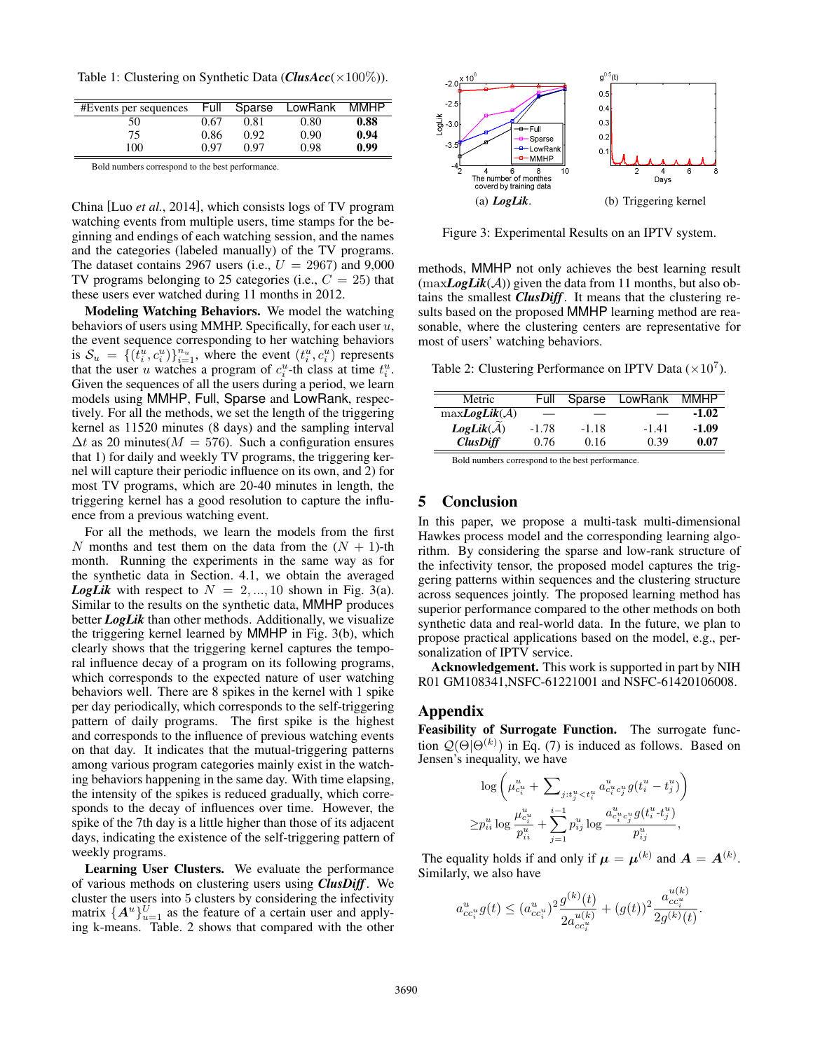Table 1: Clustering on Synthetic Data (*ClusAcc*(×100%)).

| #Events per sequences | Full | Sparse | LowRank | MMHP |
|-----------------------|------|--------|---------|------|
| 50                    | 0.67 | 0.81   | 0.80    | 0.88 |
| 75                    | 0.86 | 0.92   | 0.90    | 0.94 |
| 100                   | 0.97 | በ 97   | 0.98    | 0.99 |

Bold numbers correspond to the best performance.

China [Luo *et al.*, 2014], which consists logs of TV program watching events from multiple users, time stamps for the beginning and endings of each watching session, and the names and the categories (labeled manually) of the TV programs. The dataset contains 2967 users (i.e.,  $U = 2967$ ) and 9,000 TV programs belonging to 25 categories (i.e.,  $C = 25$ ) that these users ever watched during 11 months in 2012.

Modeling Watching Behaviors. We model the watching behaviors of users using MMHP. Specifically, for each user  $u$ , the event sequence corresponding to her watching behaviors is  $S_u = \{(t_i^u, c_i^u)\}_{i=1}^{n_u}$ , where the event  $(t_i^u, c_i^u)$  represents that the user u watches a program of  $c_i^u$ -th class at time  $t_i^u$ . Given the sequences of all the users during a period, we learn models using MMHP, Full, Sparse and LowRank, respectively. For all the methods, we set the length of the triggering kernel as 11520 minutes (8 days) and the sampling interval  $\Delta t$  as 20 minutes( $M = 576$ ). Such a configuration ensures that 1) for daily and weekly TV programs, the triggering kernel will capture their periodic influence on its own, and 2) for most TV programs, which are 20-40 minutes in length, the triggering kernel has a good resolution to capture the influence from a previous watching event.

For all the methods, we learn the models from the first N months and test them on the data from the  $(N + 1)$ -th month. Running the experiments in the same way as for the synthetic data in Section. 4.1, we obtain the averaged **LogLik** with respect to  $N = 2, ..., 10$  shown in Fig. 3(a). Similar to the results on the synthetic data, MMHP produces better *LogLik* than other methods. Additionally, we visualize the triggering kernel learned by MMHP in Fig. 3(b), which clearly shows that the triggering kernel captures the temporal influence decay of a program on its following programs, which corresponds to the expected nature of user watching behaviors well. There are 8 spikes in the kernel with 1 spike per day periodically, which corresponds to the self-triggering pattern of daily programs. The first spike is the highest and corresponds to the influence of previous watching events on that day. It indicates that the mutual-triggering patterns among various program categories mainly exist in the watching behaviors happening in the same day. With time elapsing, the intensity of the spikes is reduced gradually, which corresponds to the decay of influences over time. However, the spike of the 7th day is a little higher than those of its adjacent days, indicating the existence of the self-triggering pattern of weekly programs.

Learning User Clusters. We evaluate the performance of various methods on clustering users using *ClusDiff*. We cluster the users into 5 clusters by considering the infectivity matrix  $\{A^u\}_{u=1}^U$  as the feature of a certain user and applying k-means. Table. 2 shows that compared with the other



Figure 3: Experimental Results on an IPTV system.

methods, MMHP not only achieves the best learning result  $(\text{maxLogLik}(\mathcal{A}))$  given the data from 11 months, but also obtains the smallest *ClusDiff*. It means that the clustering results based on the proposed MMHP learning method are reasonable, where the clustering centers are representative for most of users' watching behaviors.

Table 2: Clustering Performance on IPTV Data  $(\times 10^7)$ .

| Metric                   | Full  | Sparse  | LowRank | <b>MMHP</b> |
|--------------------------|-------|---------|---------|-------------|
| $maxLogLik(\mathcal{A})$ |       |         |         | $-1.02$     |
| $LogLik(\mathcal{A})$    | -1.78 | $-1.18$ | $-1.41$ | $-1.09$     |
| <b>ClusDiff</b>          | 0.76  | 0.16    | 0.39    | 0.07        |

Bold numbers correspond to the best performance.

# 5 Conclusion

In this paper, we propose a multi-task multi-dimensional Hawkes process model and the corresponding learning algorithm. By considering the sparse and low-rank structure of the infectivity tensor, the proposed model captures the triggering patterns within sequences and the clustering structure across sequences jointly. The proposed learning method has superior performance compared to the other methods on both synthetic data and real-world data. In the future, we plan to propose practical applications based on the model, e.g., personalization of IPTV service.

Acknowledgement. This work is supported in part by NIH R01 GM108341,NSFC-61221001 and NSFC-61420106008.

#### Appendix

Feasibility of Surrogate Function. The surrogate function  $\mathcal{Q}(\Theta | \Theta^{(k)})$  in Eq. (7) is induced as follows. Based on Jensen's inequality, we have

$$
\log\left(\mu_{c_i^u}^u + \sum_{j:t_j^u < t_i^u} a_{c_i^u c_j^u}^u g(t_i^u - t_j^u) \right) \geq p_{ii}^u \log \frac{\mu_{c_i^u}^u}{p_{ii}^u} + \sum_{j=1}^{i-1} p_{ij}^u \log \frac{a_{c_i^u c_j^u}^u g(t_i^u + t_j^u)}{p_{ij}^u},
$$

The equality holds if and only if  $\mu = \mu^{(k)}$  and  $A = A^{(k)}$ . Similarly, we also have

 $\partial$ 

.

$$
a_{cc_i^u}^u g(t) \le (a_{cc_i^u}^u)^2 \frac{g^{(k)}(t)}{2a_{cc_i^u}^{u(k)}} + (g(t))^2 \frac{a_{cc_i^u}^{u(k)}}{2g^{(k)}(t)}
$$